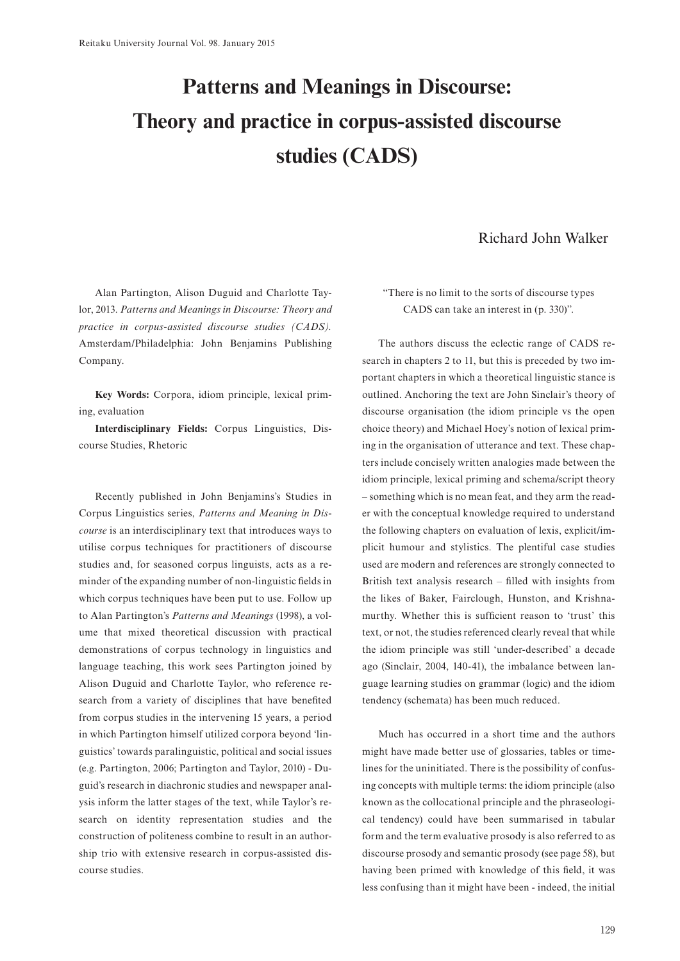## **Patterns and Meanings in Discourse: Theory and practice in corpus-assisted discourse studies (CADS)**

## Richard John Walker

Alan Partington, Alison Duguid and Charlotte Taylor, 2013. *Patterns and Meanings in Discourse: Theory and practice in corpus-assisted discourse studies (CADS).*  Amsterdam/Philadelphia: John Benjamins Publishing Company.

**Key Words:** Corpora, idiom principle, lexical priming, evaluation

**Interdisciplinary Fields:** Corpus Linguistics, Discourse Studies, Rhetoric

Recently published in John Benjamins's Studies in Corpus Linguistics series, *Patterns and Meaning in Discourse* is an interdisciplinary text that introduces ways to utilise corpus techniques for practitioners of discourse studies and, for seasoned corpus linguists, acts as a reminder of the expanding number of non-linguistic fields in which corpus techniques have been put to use. Follow up to Alan Partington's *Patterns and Meanings* (1998), a volume that mixed theoretical discussion with practical demonstrations of corpus technology in linguistics and language teaching, this work sees Partington joined by Alison Duguid and Charlotte Taylor, who reference research from a variety of disciplines that have benefited from corpus studies in the intervening 15 years, a period in which Partington himself utilized corpora beyond 'linguistics' towards paralinguistic, political and social issues (e.g. Partington, 2006; Partington and Taylor, 2010) - Duguid's research in diachronic studies and newspaper analysis inform the latter stages of the text, while Taylor's research on identity representation studies and the construction of politeness combine to result in an authorship trio with extensive research in corpus-assisted discourse studies.

"There is no limit to the sorts of discourse types CADS can take an interest in (p. 330)".

The authors discuss the eclectic range of CADS research in chapters 2 to 11, but this is preceded by two important chapters in which a theoretical linguistic stance is outlined. Anchoring the text are John Sinclair's theory of discourse organisation (the idiom principle vs the open choice theory) and Michael Hoey's notion of lexical priming in the organisation of utterance and text. These chapters include concisely written analogies made between the idiom principle, lexical priming and schema/script theory – something which is no mean feat, and they arm the reader with the conceptual knowledge required to understand the following chapters on evaluation of lexis, explicit/implicit humour and stylistics. The plentiful case studies used are modern and references are strongly connected to British text analysis research – filled with insights from the likes of Baker, Fairclough, Hunston, and Krishnamurthy. Whether this is sufficient reason to 'trust' this text, or not, the studies referenced clearly reveal that while the idiom principle was still 'under-described' a decade ago (Sinclair, 2004, 140-41), the imbalance between language learning studies on grammar (logic) and the idiom tendency (schemata) has been much reduced.

Much has occurred in a short time and the authors might have made better use of glossaries, tables or timelines for the uninitiated. There is the possibility of confusing concepts with multiple terms: the idiom principle (also known as the collocational principle and the phraseological tendency) could have been summarised in tabular form and the term evaluative prosody is also referred to as discourse prosody and semantic prosody (see page 58), but having been primed with knowledge of this field, it was less confusing than it might have been - indeed, the initial